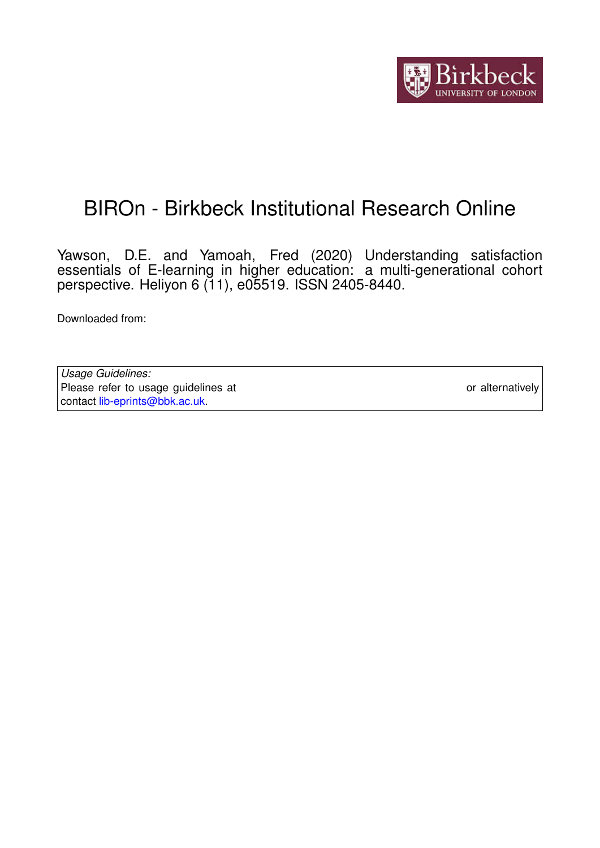

# BIROn - Birkbeck Institutional Research Online

Yawson, D.E. and Yamoah, Fred (2020) Understanding satisfaction essentials of E-learning in higher education: a multi-generational cohort perspective. Heliyon 6 (11), e05519. ISSN 2405-8440.

Downloaded from: <https://eprints.bbk.ac.uk/id/eprint/41573/>

*Usage Guidelines:* Please refer to usage guidelines at <https://eprints.bbk.ac.uk/policies.html> or alternatively contact [lib-eprints@bbk.ac.uk.](mailto:lib-eprints@bbk.ac.uk)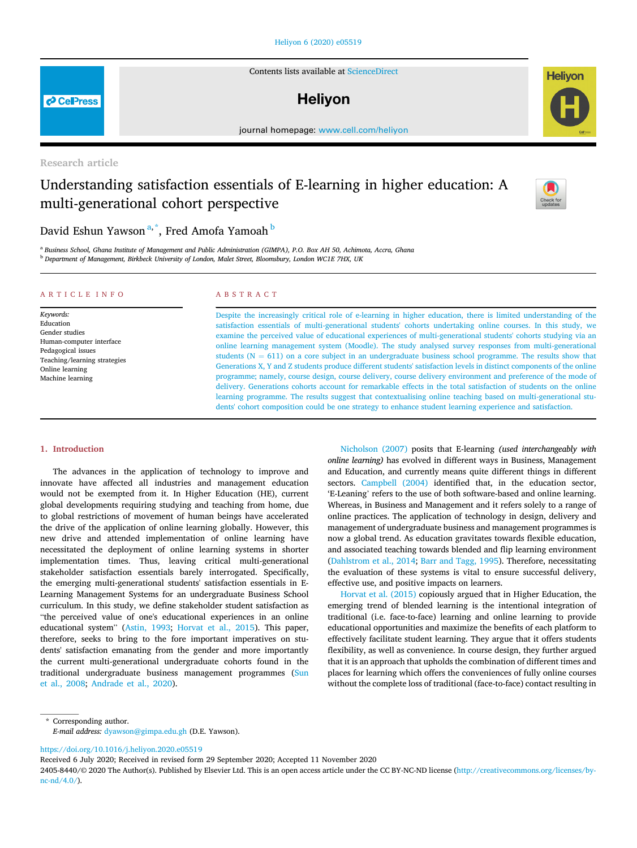#### [Heliyon 6 \(2020\) e05519](https://doi.org/10.1016/j.heliyon.2020.e05519)

Contents lists available at [ScienceDirect](www.sciencedirect.com/science/journal/24058440)

### **Helivon**

journal homepage: [www.cell.com/heliyon](http://www.cell.com/heliyon)

Research article

## Understanding satisfaction essentials of E-learning in higher education: A multi-generational cohort perspective

### David Eshun Yawson<sup>[a,](#page-1-0)[\\*](#page-1-1)</sup>, Fred Amofa Yamoah <sup>[b](#page-1-2)</sup>

<span id="page-1-2"></span><span id="page-1-0"></span><sup>a</sup> Business School, Ghana Institute of Management and Public Administration (GIMPA), P.O. Box AH 50, Achimota. Accra. Ghana <sup>b</sup> Department of Management, Birkbeck University of London, Malet Street, Bloomsbury, London WC1E 7HX, UK

#### ARTICLE INFO

Keywords: Education Gender studies Human-computer interface Pedagogical issues Teaching/learning strategies Online learning Machine learning

#### ABSTRACT

Despite the increasingly critical role of e-learning in higher education, there is limited understanding of the satisfaction essentials of multi-generational students' cohorts undertaking online courses. In this study, we examine the perceived value of educational experiences of multi-generational students' cohorts studying via an online learning management system (Moodle). The study analysed survey responses from multi-generational students  $(N = 611)$  on a core subject in an undergraduate business school programme. The results show that Generations X, Y and Z students produce different students' satisfaction levels in distinct components of the online programme; namely, course design, course delivery, course delivery environment and preference of the mode of delivery. Generations cohorts account for remarkable effects in the total satisfaction of students on the online learning programme. The results suggest that contextualising online teaching based on multi-generational students' cohort composition could be one strategy to enhance student learning experience and satisfaction.

#### 1. Introduction

The advances in the application of technology to improve and innovate have affected all industries and management education would not be exempted from it. In Higher Education (HE), current global developments requiring studying and teaching from home, due to global restrictions of movement of human beings have accelerated the drive of the application of online learning globally. However, this new drive and attended implementation of online learning have necessitated the deployment of online learning systems in shorter implementation times. Thus, leaving critical multi-generational stakeholder satisfaction essentials barely interrogated. Specifically, the emerging multi-generational students' satisfaction essentials in E-Learning Management Systems for an undergraduate Business School curriculum. In this study, we define stakeholder student satisfaction as "the perceived value of one's educational experiences in an online educational system" [\(Astin, 1993](#page-8-0); [Horvat et al., 2015](#page-8-1)). This paper, therefore, seeks to bring to the fore important imperatives on students' satisfaction emanating from the gender and more importantly the current multi-generational undergraduate cohorts found in the traditional undergraduate business management programmes ([Sun](#page-9-0) [et al., 2008;](#page-9-0) [Andrade et al., 2020\)](#page-8-2).

[Nicholson \(2007\)](#page-8-3) posits that E-learning (used interchangeably with online learning) has evolved in different ways in Business, Management and Education, and currently means quite different things in different sectors. [Campbell \(2004\)](#page-8-4) identified that, in the education sector, 'E-Leaning' refers to the use of both software-based and online learning. Whereas, in Business and Management and it refers solely to a range of online practices. The application of technology in design, delivery and management of undergraduate business and management programmes is now a global trend. As education gravitates towards flexible education, and associated teaching towards blended and flip learning environment ([Dahlstrom et al., 2014;](#page-8-5) [Barr and Tagg, 1995](#page-8-6)). Therefore, necessitating the evaluation of these systems is vital to ensure successful delivery, effective use, and positive impacts on learners.

[Horvat et al. \(2015\)](#page-8-1) copiously argued that in Higher Education, the emerging trend of blended learning is the intentional integration of traditional (i.e. face-to-face) learning and online learning to provide educational opportunities and maximize the benefits of each platform to effectively facilitate student learning. They argue that it offers students flexibility, as well as convenience. In course design, they further argued that it is an approach that upholds the combination of different times and places for learning which offers the conveniences of fully online courses without the complete loss of traditional (face-to-face) contact resulting in

<https://doi.org/10.1016/j.heliyon.2020.e05519>

Received 6 July 2020; Received in revised form 29 September 2020; Accepted 11 November 2020





<span id="page-1-1"></span><sup>\*</sup> Corresponding author. E-mail address: [dyawson@gimpa.edu.gh](mailto:dyawson@gimpa.edu.gh) (D.E. Yawson).

<sup>2405-8440/</sup>© 2020 The Author(s). Published by Elsevier Ltd. This is an open access article under the CC BY-NC-ND license [\(http://creativecommons.org/licenses/by](http://creativecommons.org/licenses/by-nc-nd/4.0/) $nc-nd/4.0/$ ).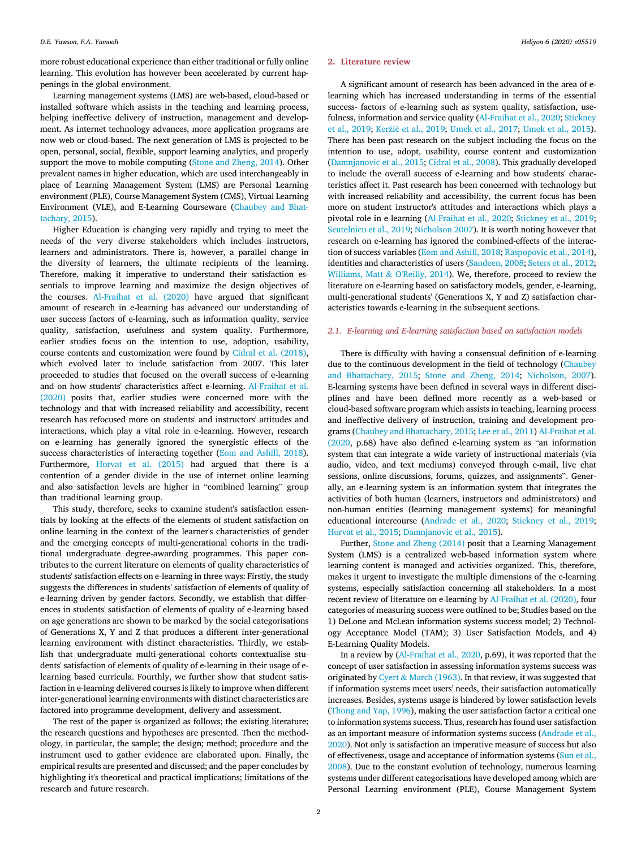more robust educational experience than either traditional or fully online learning. This evolution has however been accelerated by current happenings in the global environment.

Learning management systems (LMS) are web-based, cloud-based or installed software which assists in the teaching and learning process, helping ineffective delivery of instruction, management and development. As internet technology advances, more application programs are now web or cloud-based. The next generation of LMS is projected to be open, personal, social, flexible, support learning analytics, and properly support the move to mobile computing ([Stone and Zheng, 2014](#page-8-7)). Other prevalent names in higher education, which are used interchangeably in place of Learning Management System (LMS) are Personal Learning environment (PLE), Course Management System (CMS), Virtual Learning Environment (VLE), and E-Learning Courseware ([Chaubey and Bhat](#page-8-8)[tachary, 2015](#page-8-8)).

Higher Education is changing very rapidly and trying to meet the needs of the very diverse stakeholders which includes instructors, learners and administrators. There is, however, a parallel change in the diversity of learners, the ultimate recipients of the learning. Therefore, making it imperative to understand their satisfaction essentials to improve learning and maximize the design objectives of the courses. [Al-Fraihat et al. \(2020\)](#page-8-9) have argued that significant amount of research in e-learning has advanced our understanding of user success factors of e-learning, such as information quality, service quality, satisfaction, usefulness and system quality. Furthermore, earlier studies focus on the intention to use, adoption, usability, course contents and customization were found by [Cidral et al. \(2018\),](#page-8-10) which evolved later to include satisfaction from 2007. This later proceeded to studies that focused on the overall success of e-learning and on how students' characteristics affect e-learning. [Al-Fraihat et al.](#page-8-9) [\(2020\)](#page-8-9) posits that, earlier studies were concerned more with the technology and that with increased reliability and accessibility, recent research has refocused more on students' and instructors' attitudes and interactions, which play a vital role in e-learning. However, research on e-learning has generally ignored the synergistic effects of the success characteristics of interacting together [\(Eom and Ashill, 2018\)](#page-8-11). Furthermore, [Horvat et al. \(2015\)](#page-8-1) had argued that there is a contention of a gender divide in the use of internet online learning and also satisfaction levels are higher in "combined learning" group than traditional learning group.

This study, therefore, seeks to examine student's satisfaction essentials by looking at the effects of the elements of student satisfaction on online learning in the context of the learner's characteristics of gender and the emerging concepts of multi-generational cohorts in the traditional undergraduate degree-awarding programmes. This paper contributes to the current literature on elements of quality characteristics of students' satisfaction effects on e-learning in three ways: Firstly, the study suggests the differences in students' satisfaction of elements of quality of e-learning driven by gender factors. Secondly, we establish that differences in students' satisfaction of elements of quality of e-learning based on age generations are shown to be marked by the social categorisations of Generations X, Y and Z that produces a different inter-generational learning environment with distinct characteristics. Thirdly, we establish that undergraduate multi-generational cohorts contextualise students' satisfaction of elements of quality of e-learning in their usage of elearning based curricula. Fourthly, we further show that student satisfaction in e-learning delivered courses is likely to improve when different inter-generational learning environments with distinct characteristics are factored into programme development, delivery and assessment.

The rest of the paper is organized as follows; the existing literature; the research questions and hypotheses are presented. Then the methodology, in particular, the sample; the design; method; procedure and the instrument used to gather evidence are elaborated upon. Finally, the empirical results are presented and discussed; and the paper concludes by highlighting it's theoretical and practical implications; limitations of the research and future research.

#### 2. Literature review

A significant amount of research has been advanced in the area of elearning which has increased understanding in terms of the essential success- factors of e-learning such as system quality, satisfaction, usefulness, information and service quality [\(Al-Fraihat et al., 2020](#page-8-9); [Stickney](#page-8-12) [et al., 2019;](#page-8-12) [Ker](#page-8-13)[zi](#page-8-13)[c et al., 2019](#page-8-13); [Umek et al., 2017](#page-9-1); [Umek et al., 2015\)](#page-9-2). There has been past research on the subject including the focus on the intention to use, adopt, usability, course content and customization ([Damnjanovic et al., 2015;](#page-8-14) [Cidral et al., 2008](#page-8-10)). This gradually developed to include the overall success of e-learning and how students' characteristics affect it. Past research has been concerned with technology but with increased reliability and accessibility, the current focus has been more on student instructor's attitudes and interactions which plays a pivotal role in e-learning [\(Al-Fraihat et al., 2020](#page-8-9); [Stickney et al., 2019;](#page-8-12) [Scutelnicu et al., 2019;](#page-8-15) [Nicholson 2007\)](#page-8-3). It is worth noting however that research on e-learning has ignored the combined-effects of the interaction of success variables [\(Eom and Ashill, 2018](#page-8-11); [Raspopovic et al., 2014\)](#page-8-16), identities and characteristics of users ([Sandeen, 2008;](#page-8-17) [Seters et al., 2012;](#page-8-18) [Williams, Matt](#page-9-3) & [O'Reilly, 2014\)](#page-9-3). We, therefore, proceed to review the literature on e-learning based on satisfactory models, gender, e-learning, multi-generational students' (Generations X, Y and Z) satisfaction characteristics towards e-learning in the subsequent sections.

#### 2.1. E-learning and E-learning satisfaction based on satisfaction models

There is difficulty with having a consensual definition of e-learning due to the continuous development in the field of technology [\(Chaubey](#page-8-8) [and Bhattachary, 2015;](#page-8-8) [Stone and Zheng, 2014](#page-8-7); [Nicholson, 2007\)](#page-8-3). E-learning systems have been defined in several ways in different disciplines and have been defined more recently as a web-based or cloud-based software program which assists in teaching, learning process and ineffective delivery of instruction, training and development programs [\(Chaubey and Bhattachary, 2015](#page-8-8); [Lee et al., 2011](#page-8-19)) [Al-Fraihat et al.](#page-8-9) [\(2020](#page-8-9), p.68) have also defined e-learning system as "an information system that can integrate a wide variety of instructional materials (via audio, video, and text mediums) conveyed through e-mail, live chat sessions, online discussions, forums, quizzes, and assignments". Generally, an e-learning system is an information system that integrates the activities of both human (learners, instructors and administrators) and non-human entities (learning management systems) for meaningful educational intercourse ([Andrade et al., 2020](#page-8-2); [Stickney et al., 2019;](#page-8-12) [Horvat et al., 2015;](#page-8-1) [Damnjanovic et al., 2015](#page-8-14)).

Further, [Stone and Zheng \(2014\)](#page-8-7) posit that a Learning Management System (LMS) is a centralized web-based information system where learning content is managed and activities organized. This, therefore, makes it urgent to investigate the multiple dimensions of the e-learning systems, especially satisfaction concerning all stakeholders. In a most recent review of literature on e-learning by [Al-Fraihat et al. \(2020\),](#page-8-9) four categories of measuring success were outlined to be; Studies based on the 1) DeLone and McLean information systems success model; 2) Technology Acceptance Model (TAM); 3) User Satisfaction Models, and 4) E-Learning Quality Models.

In a review by [\(Al-Fraihat et al., 2020](#page-8-9), p.69), it was reported that the concept of user satisfaction in assessing information systems success was originated by [Cyert](#page-8-20) & [March \(1963\).](#page-8-20) In that review, it was suggested that if information systems meet users' needs, their satisfaction automatically increases. Besides, systems usage is hindered by lower satisfaction levels ([Thong and Yap, 1996](#page-9-4)), making the user satisfaction factor a critical one to information systems success. Thus, research has found user satisfaction as an important measure of information systems success [\(Andrade et al.,](#page-8-2) [2020\)](#page-8-2). Not only is satisfaction an imperative measure of success but also of effectiveness, usage and acceptance of information systems ([Sun et al.,](#page-9-0) [2008\)](#page-9-0). Due to the constant evolution of technology, numerous learning systems under different categorisations have developed among which are Personal Learning environment (PLE), Course Management System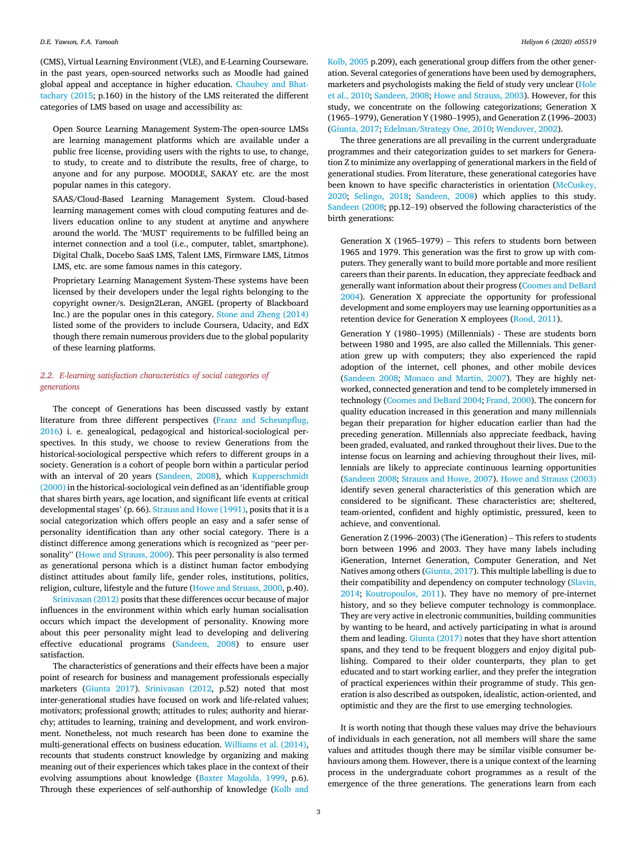(CMS), Virtual Learning Environment (VLE), and E-Learning Courseware. in the past years, open-sourced networks such as Moodle had gained global appeal and acceptance in higher education. [Chaubey and Bhat](#page-8-8)[tachary \(2015](#page-8-8); p.160) in the history of the LMS reiterated the different categories of LMS based on usage and accessibility as:

Open Source Learning Management System-The open-source LMSs are learning management platforms which are available under a public free license, providing users with the rights to use, to change, to study, to create and to distribute the results, free of charge, to anyone and for any purpose. MOODLE, SAKAY etc. are the most popular names in this category.

SAAS/Cloud-Based Learning Management System. Cloud-based learning management comes with cloud computing features and delivers education online to any student at anytime and anywhere around the world. The 'MUST' requirements to be fulfilled being an internet connection and a tool (i.e., computer, tablet, smartphone). Digital Chalk, Docebo SaaS LMS, Talent LMS, Firmware LMS, Litmos LMS, etc. are some famous names in this category.

Proprietary Learning Management System-These systems have been licensed by their developers under the legal rights belonging to the copyright owner/s. Design2Leran, ANGEL (property of Blackboard Inc.) are the popular ones in this category. [Stone and Zheng \(2014\)](#page-8-7) listed some of the providers to include Coursera, Udacity, and EdX though there remain numerous providers due to the global popularity of these learning platforms.

#### 2.2. E-learning satisfaction characteristics of social categories of generations

The concept of Generations has been discussed vastly by extant literature from three different perspectives [\(Franz and Scheunp](#page-8-21)flug, [2016\)](#page-8-21) i. e. genealogical, pedagogical and historical-sociological perspectives. In this study, we choose to review Generations from the historical-sociological perspective which refers to different groups in a society. Generation is a cohort of people born within a particular period with an interval of 20 years ([Sandeen, 2008\)](#page-8-17), which [Kupperschmidt](#page-8-22) [\(2000\)](#page-8-22) in the historical-sociological vein defined as an 'identifiable group that shares birth years, age location, and significant life events at critical developmental stages' (p. 66). [Strauss and Howe \(1991\),](#page-8-23) posits that it is a social categorization which offers people an easy and a safer sense of personality identification than any other social category. There is a distinct difference among generations which is recognized as "peer personality" ([Howe and Strauss, 2000\)](#page-8-24). This peer personality is also termed as generational persona which is a distinct human factor embodying distinct attitudes about family life, gender roles, institutions, politics, religion, culture, lifestyle and the future [\(Howe and Struass, 2000,](#page-8-24) p.40).

[Srinivasan \(2012\)](#page-8-25) posits that these differences occur because of major influences in the environment within which early human socialisation occurs which impact the development of personality. Knowing more about this peer personality might lead to developing and delivering effective educational programs [\(Sandeen, 2008\)](#page-8-17) to ensure user satisfaction.

The characteristics of generations and their effects have been a major point of research for business and management professionals especially marketers [\(Giunta 2017](#page-8-26)). [Srinivasan \(2012,](#page-8-25) p.52) noted that most inter-generational studies have focused on work and life-related values; motivators; professional growth; attitudes to rules; authority and hierarchy; attitudes to learning, training and development, and work environment. Nonetheless, not much research has been done to examine the multi-generational effects on business education. [Williams et al. \(2014\),](#page-9-3) recounts that students construct knowledge by organizing and making meaning out of their experiences which takes place in the context of their evolving assumptions about knowledge [\(Baxter Magolda, 1999](#page-8-27), p.6). Through these experiences of self-authorship of knowledge [\(Kolb and](#page-8-28)

[Kolb, 2005](#page-8-28) p.209), each generational group differs from the other generation. Several categories of generations have been used by demographers, marketers and psychologists making the field of study very unclear [\(Hole](#page-8-29) [et al., 2010;](#page-8-29) [Sandeen, 2008](#page-8-17); [Howe and Strauss, 2003\)](#page-8-30). However, for this study, we concentrate on the following categorizations; Generation X (1965–1979), Generation Y (1980–1995), and Generation Z (1996–2003) ([Giunta, 2017;](#page-8-26) [Edelman/Strategy One, 2010;](#page-8-31) [Wendover, 2002](#page-9-5)).

The three generations are all prevailing in the current undergraduate programmes and their categorization guides to set markers for Generation Z to minimize any overlapping of generational markers in the field of generational studies. From literature, these generational categories have been known to have specific characteristics in orientation [\(McCuskey,](#page-8-32) [2020;](#page-8-32) [Selingo, 2018](#page-8-33); [Sandeen, 2008\)](#page-8-17) which applies to this study. [Sandeen \(2008](#page-8-17); pp.12–19) observed the following characteristics of the birth generations:

Generation X (1965–1979) – This refers to students born between 1965 and 1979. This generation was the first to grow up with computers. They generally want to build more portable and more resilient careers than their parents. In education, they appreciate feedback and generally want information about their progress [\(Coomes and DeBard](#page-8-34) [2004](#page-8-34)). Generation X appreciate the opportunity for professional development and some employers may use learning opportunities as a retention device for Generation X employees [\(Rood, 2011\)](#page-8-35).

Generation Y (1980–1995) (Millennials) - These are students born between 1980 and 1995, are also called the Millennials. This generation grew up with computers; they also experienced the rapid adoption of the internet, cell phones, and other mobile devices ([Sandeen 2008](#page-8-17); [Monaco and Martin, 2007\)](#page-8-36). They are highly networked, connected generation and tend to be completely immersed in technology ([Coomes and DeBard 2004;](#page-8-34) [Frand, 2000\)](#page-8-37). The concern for quality education increased in this generation and many millennials began their preparation for higher education earlier than had the preceding generation. Millennials also appreciate feedback, having been graded, evaluated, and ranked throughout their lives. Due to the intense focus on learning and achieving throughout their lives, millennials are likely to appreciate continuous learning opportunities ([Sandeen 2008](#page-8-17); [Strauss and Howe, 2007](#page-8-38)). [Howe and Strauss \(2003\)](#page-8-30) identify seven general characteristics of this generation which are considered to be significant. These characteristics are; sheltered, team-oriented, confident and highly optimistic, pressured, keen to achieve, and conventional.

Generation Z (1996–2003) (The iGeneration) – This refers to students born between 1996 and 2003. They have many labels including iGeneration, Internet Generation, Computer Generation, and Net Natives among others ([Giunta, 2017\)](#page-8-26). This multiple labelling is due to their compatibility and dependency on computer technology [\(Slavin,](#page-8-39) [2014](#page-8-39); [Koutropoulos, 2011](#page-8-40)). They have no memory of pre-internet history, and so they believe computer technology is commonplace. They are very active in electronic communities, building communities by wanting to be heard, and actively participating in what is around them and leading. [Giunta \(2017\)](#page-8-26) notes that they have short attention spans, and they tend to be frequent bloggers and enjoy digital publishing. Compared to their older counterparts, they plan to get educated and to start working earlier, and they prefer the integration of practical experiences within their programme of study. This generation is also described as outspoken, idealistic, action-oriented, and optimistic and they are the first to use emerging technologies.

It is worth noting that though these values may drive the behaviours of individuals in each generation, not all members will share the same values and attitudes though there may be similar visible consumer behaviours among them. However, there is a unique context of the learning process in the undergraduate cohort programmes as a result of the emergence of the three generations. The generations learn from each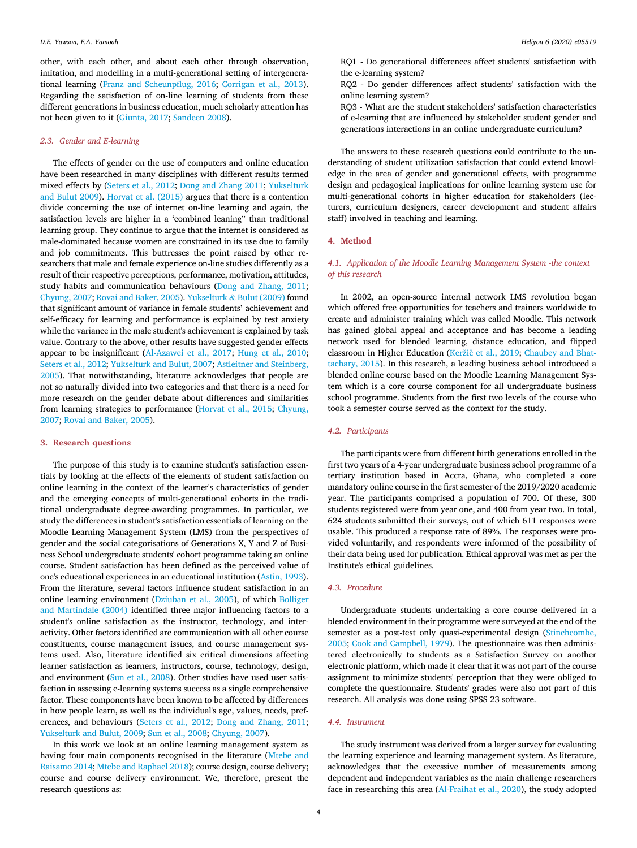other, with each other, and about each other through observation, imitation, and modelling in a multi-generational setting of intergenerational learning [\(Franz and Scheunp](#page-8-21)flug, 2016; [Corrigan et al., 2013\)](#page-8-41). Regarding the satisfaction of on-line learning of students from these different generations in business education, much scholarly attention has not been given to it ([Giunta, 2017](#page-8-26); [Sandeen 2008\)](#page-8-17).

#### 2.3. Gender and E-learning

The effects of gender on the use of computers and online education have been researched in many disciplines with different results termed mixed effects by [\(Seters et al., 2012;](#page-8-18) [Dong and Zhang 2011;](#page-8-42) [Yukselturk](#page-9-6) [and Bulut 2009](#page-9-6)). [Horvat et al. \(2015\)](#page-8-1) argues that there is a contention divide concerning the use of internet on-line learning and again, the satisfaction levels are higher in a 'combined leaning" than traditional learning group. They continue to argue that the internet is considered as male-dominated because women are constrained in its use due to family and job commitments. This buttresses the point raised by other researchers that male and female experience on-line studies differently as a result of their respective perceptions, performance, motivation, attitudes, study habits and communication behaviours [\(Dong and Zhang, 2011;](#page-8-42) [Chyung, 2007](#page-8-43); [Rovai and Baker, 2005](#page-8-44)). [Yukselturk](#page-9-6) & [Bulut \(2009\)](#page-9-6) found that significant amount of variance in female students' achievement and self-efficacy for learning and performance is explained by test anxiety while the variance in the male student's achievement is explained by task value. Contrary to the above, other results have suggested gender effects appear to be insignificant [\(Al-Azawei et al., 2017;](#page-8-45) [Hung et al., 2010;](#page-8-46) [Seters et al., 2012](#page-8-18); [Yukselturk and Bulut, 2007;](#page-9-7) [Astleitner and Steinberg,](#page-8-47) [2005\)](#page-8-47). That notwithstanding, literature acknowledges that people are not so naturally divided into two categories and that there is a need for more research on the gender debate about differences and similarities from learning strategies to performance ([Horvat et al., 2015](#page-8-1); [Chyung,](#page-8-43) [2007;](#page-8-43) [Rovai and Baker, 2005](#page-8-44)).

#### 3. Research questions

The purpose of this study is to examine student's satisfaction essentials by looking at the effects of the elements of student satisfaction on online learning in the context of the learner's characteristics of gender and the emerging concepts of multi-generational cohorts in the traditional undergraduate degree-awarding programmes. In particular, we study the differences in student's satisfaction essentials of learning on the Moodle Learning Management System (LMS) from the perspectives of gender and the social categorisations of Generations X, Y and Z of Business School undergraduate students' cohort programme taking an online course. Student satisfaction has been defined as the perceived value of one's educational experiences in an educational institution ([Astin, 1993\)](#page-8-0). From the literature, several factors influence student satisfaction in an online learning environment [\(Dziuban et al., 2005\)](#page-8-48), of which [Bolliger](#page-8-49) [and Martindale \(2004\)](#page-8-49) identified three major influencing factors to a student's online satisfaction as the instructor, technology, and interactivity. Other factors identified are communication with all other course constituents, course management issues, and course management systems used. Also, literature identified six critical dimensions affecting learner satisfaction as learners, instructors, course, technology, design, and environment [\(Sun et al., 2008\)](#page-9-0). Other studies have used user satisfaction in assessing e-learning systems success as a single comprehensive factor. These components have been known to be affected by differences in how people learn, as well as the individual's age, values, needs, preferences, and behaviours ([Seters et al., 2012](#page-8-18); [Dong and Zhang, 2011;](#page-8-42) [Yukselturk and Bulut, 2009;](#page-9-6) [Sun et al., 2008;](#page-9-0) [Chyung, 2007](#page-8-43)).

In this work we look at an online learning management system as having four main components recognised in the literature ([Mtebe and](#page-8-50) [Raisamo 2014;](#page-8-50) [Mtebe and Raphael 2018\)](#page-8-51); course design, course delivery; course and course delivery environment. We, therefore, present the research questions as:

RQ1 - Do generational differences affect students' satisfaction with the e-learning system?

RQ2 - Do gender differences affect students' satisfaction with the online learning system?

RQ3 - What are the student stakeholders' satisfaction characteristics of e-learning that are influenced by stakeholder student gender and generations interactions in an online undergraduate curriculum?

The answers to these research questions could contribute to the understanding of student utilization satisfaction that could extend knowledge in the area of gender and generational effects, with programme design and pedagogical implications for online learning system use for multi-generational cohorts in higher education for stakeholders (lecturers, curriculum designers, career development and student affairs staff) involved in teaching and learning.

#### 4. Method

#### 4.1. Application of the Moodle Learning Management System -the context of this research

In 2002, an open-source internal network LMS revolution began which offered free opportunities for teachers and trainers worldwide to create and administer training which was called Moodle. This network has gained global appeal and acceptance and has become a leading network used for blended learning, distance education, and flipped classroom in Higher Education ([Ker](#page-8-13)žič et al., 2019; [Chaubey and Bhat](#page-8-8)[tachary, 2015](#page-8-8)). In this research, a leading business school introduced a blended online course based on the Moodle Learning Management System which is a core course component for all undergraduate business school programme. Students from the first two levels of the course who took a semester course served as the context for the study.

#### 4.2. Participants

The participants were from different birth generations enrolled in the first two years of a 4-year undergraduate business school programme of a tertiary institution based in Accra, Ghana, who completed a core mandatory online course in the first semester of the 2019/2020 academic year. The participants comprised a population of 700. Of these, 300 students registered were from year one, and 400 from year two. In total, 624 students submitted their surveys, out of which 611 responses were usable. This produced a response rate of 89%. The responses were provided voluntarily, and respondents were informed of the possibility of their data being used for publication. Ethical approval was met as per the Institute's ethical guidelines.

#### 4.3. Procedure

Undergraduate students undertaking a core course delivered in a blended environment in their programme were surveyed at the end of the semester as a post-test only quasi-experimental design ([Stinchcombe,](#page-8-52) [2005;](#page-8-52) [Cook and Campbell, 1979](#page-8-53)). The questionnaire was then administered electronically to students as a Satisfaction Survey on another electronic platform, which made it clear that it was not part of the course assignment to minimize students' perception that they were obliged to complete the questionnaire. Students' grades were also not part of this research. All analysis was done using SPSS 23 software.

#### 4.4. Instrument

The study instrument was derived from a larger survey for evaluating the learning experience and learning management system. As literature, acknowledges that the excessive number of measurements among dependent and independent variables as the main challenge researchers face in researching this area [\(Al-Fraihat et al., 2020](#page-8-9)), the study adopted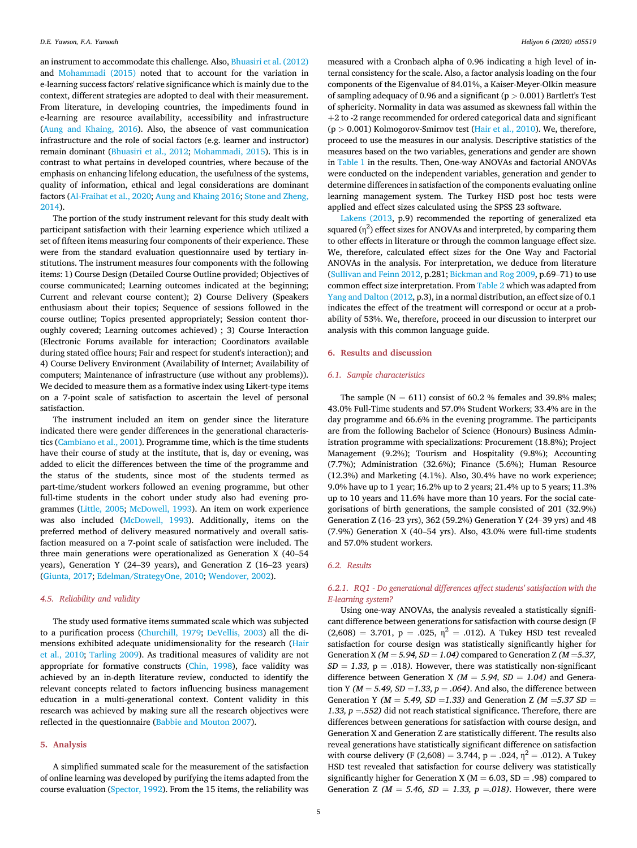an instrument to accommodate this challenge. Also, [Bhuasiri et al. \(2012\)](#page-8-54) and [Mohammadi \(2015\)](#page-8-55) noted that to account for the variation in e-learning success factors' relative significance which is mainly due to the context, different strategies are adopted to deal with their measurement. From literature, in developing countries, the impediments found in e-learning are resource availability, accessibility and infrastructure ([Aung and Khaing, 2016\)](#page-8-56). Also, the absence of vast communication infrastructure and the role of social factors (e.g. learner and instructor) remain dominant [\(Bhuasiri et al., 2012](#page-8-54); [Mohammadi, 2015\)](#page-8-55). This is in contrast to what pertains in developed countries, where because of the emphasis on enhancing lifelong education, the usefulness of the systems, quality of information, ethical and legal considerations are dominant factors ([Al-Fraihat et al., 2020](#page-8-9); [Aung and Khaing 2016;](#page-8-56) [Stone and Zheng,](#page-8-7) [2014\)](#page-8-7).

The portion of the study instrument relevant for this study dealt with participant satisfaction with their learning experience which utilized a set of fifteen items measuring four components of their experience. These were from the standard evaluation questionnaire used by tertiary institutions. The instrument measures four components with the following items: 1) Course Design (Detailed Course Outline provided; Objectives of course communicated; Learning outcomes indicated at the beginning; Current and relevant course content); 2) Course Delivery (Speakers enthusiasm about their topics; Sequence of sessions followed in the course outline; Topics presented appropriately; Session content thoroughly covered; Learning outcomes achieved) ; 3) Course Interaction (Electronic Forums available for interaction; Coordinators available during stated office hours; Fair and respect for student's interaction); and 4) Course Delivery Environment (Availability of Internet; Availability of computers; Maintenance of infrastructure (use without any problems)). We decided to measure them as a formative index using Likert-type items on a 7-point scale of satisfaction to ascertain the level of personal satisfaction.

The instrument included an item on gender since the literature indicated there were gender differences in the generational characteristics [\(Cambiano et al., 2001\)](#page-8-57). Programme time, which is the time students have their course of study at the institute, that is, day or evening, was added to elicit the differences between the time of the programme and the status of the students, since most of the students termed as part-time/student workers followed an evening programme, but other full-time students in the cohort under study also had evening programmes [\(Little, 2005](#page-8-58); [McDowell, 1993](#page-8-59)). An item on work experience was also included [\(McDowell, 1993](#page-8-59)). Additionally, items on the preferred method of delivery measured normatively and overall satisfaction measured on a 7-point scale of satisfaction were included. The three main generations were operationalized as Generation X (40–<sup>54</sup> years), Generation Y (24–39 years), and Generation Z (16–23 years) ([Giunta, 2017](#page-8-26); [Edelman/StrategyOne, 2010](#page-8-31); [Wendover, 2002](#page-9-5)).

#### 4.5. Reliability and validity

The study used formative items summated scale which was subjected to a purification process [\(Churchill, 1979;](#page-8-60) [DeVellis, 2003\)](#page-8-61) all the dimensions exhibited adequate unidimensionality for the research [\(Hair](#page-8-62) [et al., 2010;](#page-8-62) [Tarling 2009\)](#page-9-8). As traditional measures of validity are not appropriate for formative constructs ([Chin, 1998](#page-8-63)), face validity was achieved by an in-depth literature review, conducted to identify the relevant concepts related to factors influencing business management education in a multi-generational context. Content validity in this research was achieved by making sure all the research objectives were reflected in the questionnaire ([Babbie and Mouton 2007\)](#page-8-64).

#### 5. Analysis

A simplified summated scale for the measurement of the satisfaction of online learning was developed by purifying the items adapted from the course evaluation ([Spector, 1992\)](#page-8-65). From the 15 items, the reliability was measured with a Cronbach alpha of 0.96 indicating a high level of internal consistency for the scale. Also, a factor analysis loading on the four components of the Eigenvalue of 84.01%, a Kaiser-Meyer-Olkin measure of sampling adequacy of 0.96 and a significant ( $p > 0.001$ ) Bartlett's Test of sphericity. Normality in data was assumed as skewness fall within the  $+2$  to -2 range recommended for ordered categorical data and significant  $(p > 0.001)$  Kolmogorov-Smirnov test ([Hair et al., 2010\)](#page-8-62). We, therefore, proceed to use the measures in our analysis. Descriptive statistics of the measures based on the two variables, generations and gender are shown in [Table 1](#page-6-0) in the results. Then, One-way ANOVAs and factorial ANOVAs were conducted on the independent variables, generation and gender to determine differences in satisfaction of the components evaluating online learning management system. The Turkey HSD post hoc tests were applied and effect sizes calculated using the SPSS 23 software.

[Lakens \(2013,](#page-8-66) p.9) recommended the reporting of generalized eta squared  $(\eta^2)$  effect sizes for ANOVAs and interpreted, by comparing them to other effects in literature or through the common language effect size. We, therefore, calculated effect sizes for the One Way and Factorial ANOVAs in the analysis. For interpretation, we deduce from literature ([Sullivan and Feinn 2012](#page-8-67), p.281; [Bickman and Rog 2009,](#page-8-68) p.69–71) to use common effect size interpretation. From [Table 2](#page-6-1) which was adapted from [Yang and Dalton \(2012,](#page-9-9) p.3), in a normal distribution, an effect size of 0.1 indicates the effect of the treatment will correspond or occur at a probability of 53%. We, therefore, proceed in our discussion to interpret our analysis with this common language guide.

#### 6. Results and discussion

#### 6.1. Sample characteristics

The sample ( $N = 611$ ) consist of 60.2 % females and 39.8% males; 43.0% Full-Time students and 57.0% Student Workers; 33.4% are in the day programme and 66.6% in the evening programme. The participants are from the following Bachelor of Science (Honours) Business Administration programme with specializations: Procurement (18.8%); Project Management (9.2%); Tourism and Hospitality (9.8%); Accounting (7.7%); Administration (32.6%); Finance (5.6%); Human Resource (12.3%) and Marketing (4.1%). Also, 30.4% have no work experience; 9.0% have up to 1 year; 16.2% up to 2 years; 21.4% up to 5 years; 11.3% up to 10 years and 11.6% have more than 10 years. For the social categorisations of birth generations, the sample consisted of 201 (32.9%) Generation Z (16–23 yrs), 362 (59.2%) Generation Y (24–39 yrs) and 48 (7.9%) Generation X (40–54 yrs). Also, 43.0% were full-time students and 57.0% student workers.

#### 6.2. Results

#### 6.2.1. RQ1 - Do generational differences affect students' satisfaction with the E-learning system?

Using one-way ANOVAs, the analysis revealed a statistically significant difference between generations for satisfaction with course design (F  $(2,608) = 3.701$ , p = .025,  $\eta^2 = .012$ ). A Tukey HSD test revealed satisfaction for course design was statistically significantly higher for Generation X ( $M = 5.94$ ,  $SD = 1.04$ ) compared to Generation Z ( $M = 5.37$ ,  $SD = 1.33$ , p = .018). However, there was statistically non-significant difference between Generation X ( $M = 5.94$ ,  $SD = 1.04$ ) and Generation Y ( $M = 5.49$ ,  $SD = 1.33$ ,  $p = .064$ ). And also, the difference between Generation Y ( $M = 5.49$ ,  $SD = 1.33$ ) and Generation Z ( $M = 5.37$  SD = 1.33,  $p = .552$ ) did not reach statistical significance. Therefore, there are differences between generations for satisfaction with course design, and Generation X and Generation Z are statistically different. The results also reveal generations have statistically significant difference on satisfaction with course delivery (F (2,608) = 3.744, p = .024,  $\eta^2$  = .012). A Tukey HSD test revealed that satisfaction for course delivery was statistically significantly higher for Generation X ( $M = 6.03$ , SD = .98) compared to Generation Z ( $M = 5.46$ ,  $SD = 1.33$ ,  $p = .018$ ). However, there were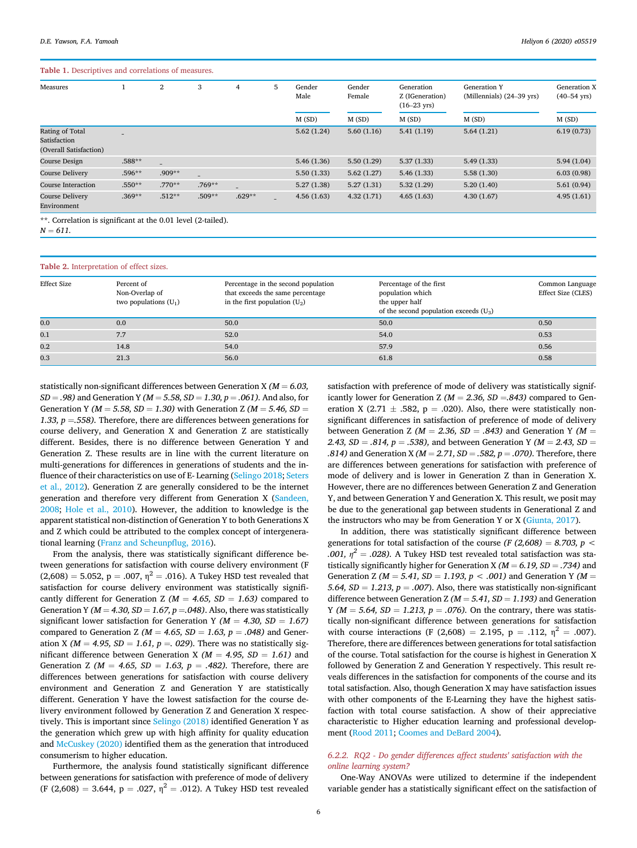#### <span id="page-6-0"></span>Table 1. Descriptives and correlations of measures.

| Measures                                                  |          | $\boldsymbol{2}$         | 3                        | 4                        | 5 | Gender<br>Male | Gender<br>Female | Generation<br>Z (IGeneration)<br>$(16-23 \text{ yrs})$ | <b>Generation Y</b><br>(Millennials) $(24-39 \text{ yrs})$ | Generation X<br>$(40 - 54 \text{ yrs})$ |
|-----------------------------------------------------------|----------|--------------------------|--------------------------|--------------------------|---|----------------|------------------|--------------------------------------------------------|------------------------------------------------------------|-----------------------------------------|
|                                                           |          |                          |                          |                          |   | M(SD)          | M(SD)            | M(SD)                                                  | M(SD)                                                      | M(SD)                                   |
| Rating of Total<br>Satisfaction<br>(Overall Satisfaction) | -        |                          |                          |                          |   | 5.62(1.24)     | 5.60(1.16)       | 5.41(1.19)                                             | 5.64(1.21)                                                 | 6.19(0.73)                              |
| Course Design                                             | .588**   | $\overline{\phantom{a}}$ |                          |                          |   | 5.46(1.36)     | 5.50(1.29)       | 5.37(1.33)                                             | 5.49(1.33)                                                 | 5.94(1.04)                              |
| <b>Course Delivery</b>                                    | $.596**$ | $.909**$                 | $\overline{\phantom{a}}$ |                          |   | 5.50(1.33)     | 5.62(1.27)       | 5.46(1.33)                                             | 5.58(1.30)                                                 | 6.03(0.98)                              |
| <b>Course Interaction</b>                                 | $.550**$ | $.770**$                 | .769**                   | $\overline{\phantom{0}}$ |   | 5.27(1.38)     | 5.27(1.31)       | 5.32(1.29)                                             | 5.20(1.40)                                                 | 5.61(0.94)                              |
| <b>Course Delivery</b><br>Environment                     | $.369**$ | $.512**$                 | .509**                   | $.629**$                 |   | 4.56(1.63)     | 4.32(1.71)       | 4.65(1.63)                                             | 4.30(1.67)                                                 | 4.95(1.61)                              |

\*\*. Correlation is significant at the 0.01 level (2-tailed).

 $N = 611.$ 

<span id="page-6-1"></span>

|  |  | Table 2. Interpretation of effect sizes. |  |  |  |
|--|--|------------------------------------------|--|--|--|
|--|--|------------------------------------------|--|--|--|

| <b>Effect Size</b> | Percent of<br>Non-Overlap of<br>two populations $(U_1)$ | Percentage in the second population<br>that exceeds the same percentage<br>in the first population $(U_2)$ | Percentage of the first<br>population which<br>the upper half<br>of the second population exceeds $(U_3)$ | Common Language<br>Effect Size (CLES) |
|--------------------|---------------------------------------------------------|------------------------------------------------------------------------------------------------------------|-----------------------------------------------------------------------------------------------------------|---------------------------------------|
| 0.0                | 0.0                                                     | 50.0                                                                                                       | 50.0                                                                                                      | 0.50                                  |
| 0.1                | 7.7                                                     | 52.0                                                                                                       | 54.0                                                                                                      | 0.53                                  |
| 0.2                | 14.8                                                    | 54.0                                                                                                       | 57.9                                                                                                      | 0.56                                  |
| 0.3                | 21.3                                                    | 56.0                                                                                                       | 61.8                                                                                                      | 0.58                                  |

statistically non-significant differences between Generation X ( $M = 6.03$ ,  $SD = .98$ ) and Generation Y ( $M = 5.58$ ,  $SD = 1.30$ ,  $p = .061$ ). And also, for Generation Y ( $M = 5.58$ ,  $SD = 1.30$ ) with Generation Z ( $M = 5.46$ ,  $SD =$ 1.33,  $p = .558$ ). Therefore, there are differences between generations for course delivery, and Generation X and Generation Z are statistically different. Besides, there is no difference between Generation Y and Generation Z. These results are in line with the current literature on multi-generations for differences in generations of students and the influence of their characteristics on use of E- Learning ([Selingo 2018](#page-8-33); [Seters](#page-8-18) [et al., 2012\)](#page-8-18). Generation Z are generally considered to be the internet generation and therefore very different from Generation X [\(Sandeen,](#page-8-17) [2008;](#page-8-17) [Hole et al., 2010](#page-8-29)). However, the addition to knowledge is the apparent statistical non-distinction of Generation Y to both Generations X and Z which could be attributed to the complex concept of intergenerational learning [\(Franz and Scheunp](#page-8-21)flug, 2016).

From the analysis, there was statistically significant difference between generations for satisfaction with course delivery environment (F  $(2,608) = 5.052$ , p = .007,  $\eta^2 = .016$ ). A Tukey HSD test revealed that satisfaction for course delivery environment was statistically significantly different for Generation Z ( $M = 4.65$ ,  $SD = 1.63$ ) compared to Generation Y ( $M = 4.30$ ,  $SD = 1.67$ ,  $p = .048$ ). Also, there was statistically significant lower satisfaction for Generation Y ( $M = 4.30$ ,  $SD = 1.67$ ) compared to Generation Z ( $M = 4.65$ ,  $SD = 1.63$ ,  $p = .048$ ) and Generation X ( $M = 4.95$ ,  $SD = 1.61$ ,  $p = 0.029$ ). There was no statistically significant difference between Generation X ( $M = 4.95$ ,  $SD = 1.61$ ) and Generation Z ( $M = 4.65$ ,  $SD = 1.63$ ,  $p = .482$ ). Therefore, there are differences between generations for satisfaction with course delivery environment and Generation Z and Generation Y are statistically different. Generation Y have the lowest satisfaction for the course delivery environment followed by Generation Z and Generation X respectively. This is important since [Selingo \(2018\)](#page-8-33) identified Generation Y as the generation which grew up with high affinity for quality education and [McCuskey \(2020\)](#page-8-32) identified them as the generation that introduced consumerism to higher education.

Furthermore, the analysis found statistically significant difference between generations for satisfaction with preference of mode of delivery (F (2,608) = 3.644, p = .027,  $\eta^2$  = .012). A Tukey HSD test revealed

satisfaction with preference of mode of delivery was statistically significantly lower for Generation Z ( $M = 2.36$ ,  $SD = .843$ ) compared to Generation X (2.71  $\pm$  .582, p = .020). Also, there were statistically nonsignificant differences in satisfaction of preference of mode of delivery between Generation Z ( $M = 2.36$ ,  $SD = .843$ ) and Generation Y ( $M =$ 2.43,  $SD = .814$ ,  $p = .538$ ), and between Generation Y ( $M = 2.43$ ,  $SD =$ .814) and Generation X ( $M = 2.71$ ,  $SD = .582$ ,  $p = .070$ ). Therefore, there are differences between generations for satisfaction with preference of mode of delivery and is lower in Generation Z than in Generation X. However, there are no differences between Generation Z and Generation Y, and between Generation Y and Generation X. This result, we posit may be due to the generational gap between students in Generational Z and the instructors who may be from Generation Y or X [\(Giunta, 2017](#page-8-26)).

In addition, there was statistically significant difference between generations for total satisfaction of the course (F  $(2,608) = 8.703$ , p < .001,  $\eta^2$  = .028). A Tukey HSD test revealed total satisfaction was statistically significantly higher for Generation X ( $M = 6.19$ ,  $SD = .734$ ) and Generation Z ( $M = 5.41$ ,  $SD = 1.193$ ,  $p < .001$ ) and Generation Y ( $M =$ 5.64,  $SD = 1.213$ ,  $p = .007$ ). Also, there was statistically non-significant difference between Generation Z ( $M = 5.41$ ,  $SD = 1.193$ ) and Generation Y ( $M = 5.64$ ,  $SD = 1.213$ ,  $p = .076$ ). On the contrary, there was statistically non-significant difference between generations for satisfaction with course interactions (F (2,608) = 2.195, p = .112,  $\eta^2$  = .007). Therefore, there are differences between generations for total satisfaction of the course. Total satisfaction for the course is highest in Generation X followed by Generation Z and Generation Y respectively. This result reveals differences in the satisfaction for components of the course and its total satisfaction. Also, though Generation X may have satisfaction issues with other components of the E-Learning they have the highest satisfaction with total course satisfaction. A show of their appreciative characteristic to Higher education learning and professional development ([Rood 2011](#page-8-35); [Coomes and DeBard 2004\)](#page-8-34).

#### 6.2.2. RQ2 - Do gender differences affect students' satisfaction with the online learning system?

One-Way ANOVAs were utilized to determine if the independent variable gender has a statistically significant effect on the satisfaction of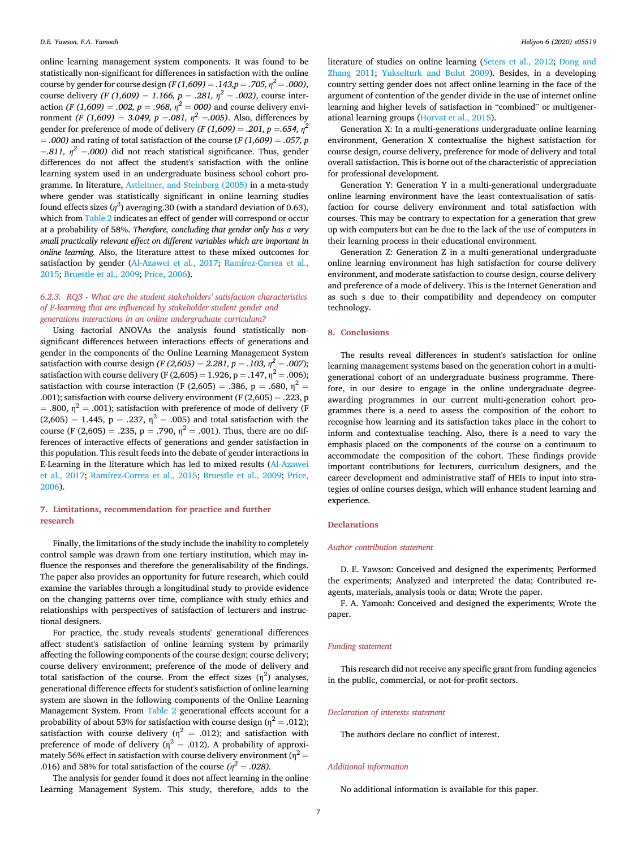online learning management system components. It was found to be statistically non-significant for differences in satisfaction with the online course by gender for course design  $(F (1,609) = .143, p = .705, \eta^2 = .000)$ , course delivery (F (1,609) = 1.166, p = .281,  $\eta^2$  = .002), course interaction (F (1,609) = .002, p = .968,  $\eta^2 = 000$ ) and course delivery environment (F (1,609) = 3.049, p = 081,  $\eta^2$  = 005). Also, differences by gender for preference of mode of delivery  $(F (1,609) = .201, p = .654, \eta^2)$  $=$  .000) and rating of total satisfaction of the course (F (1,609)  $=$  .057, p =.811,  $\eta^2$  =.000) did not reach statistical significance. Thus, gender differences do not affect the student's satisfaction with the online learning system used in an undergraduate business school cohort programme. In literature, [Astleitner, and Steinberg \(2005\)](#page-8-47) in a meta-study where gender was statistically significant in online learning studies found effects sizes ( $\eta^2$ ) averaging.30 (with a standard deviation of 0.63), which from [Table 2](#page-6-1) indicates an effect of gender will correspond or occur at a probability of 58%. Therefore, concluding that gender only has a very small practically relevant effect on different variables which are important in online learning. Also, the literature attest to these mixed outcomes for satisfaction by gender [\(Al-Azawei et al., 2017](#page-8-45); [Ramírez-Correa et al.,](#page-8-69) [2015;](#page-8-69) [Bruestle et al., 2009](#page-8-70); [Price, 2006\)](#page-8-71).

#### 6.2.3. RQ3 - What are the student stakeholders' satisfaction characteristics of E-learning that are influenced by stakeholder student gender and generations interactions in an online undergraduate curriculum?

Using factorial ANOVAs the analysis found statistically nonsignificant differences between interactions effects of generations and gender in the components of the Online Learning Management System satisfaction with course design (F (2,605) = 2.281, p = .103,  $\eta^2$  = .007); satisfaction with course delivery (F (2,605) = 1.926, p = .147,  $\eta^2$  = .006); satisfaction with course interaction (F (2,605) = .386, p = .680,  $\eta^2$  = .001); satisfaction with course delivery environment (F $(2,605) = .223$ , p  $=$  .800,  $\eta^2 =$  .001); satisfaction with preference of mode of delivery (F  $(2,605) = 1.445$ ,  $p = .237$ ,  $\eta^2 = .005$ ) and total satisfaction with the course (F (2,605) = .235, p = .790,  $\eta^2$  = .001). Thus, there are no differences of interactive effects of generations and gender satisfaction in this population. This result feeds into the debate of gender interactions in E-Learning in the literature which has led to mixed results [\(Al-Azawei](#page-8-45) [et al., 2017](#page-8-45); [Ramírez-Correa et al., 2015;](#page-8-69) [Bruestle et al., 2009](#page-8-70); [Price,](#page-8-71) [2006\)](#page-8-71).

### 7. Limitations, recommendation for practice and further research

Finally, the limitations of the study include the inability to completely control sample was drawn from one tertiary institution, which may influence the responses and therefore the generalisability of the findings. The paper also provides an opportunity for future research, which could examine the variables through a longitudinal study to provide evidence on the changing patterns over time, compliance with study ethics and relationships with perspectives of satisfaction of lecturers and instructional designers.

For practice, the study reveals students' generational differences affect student's satisfaction of online learning system by primarily affecting the following components of the course design; course delivery; course delivery environment; preference of the mode of delivery and total satisfaction of the course. From the effect sizes  $(\eta^2)$  analyses, generational difference effects for student's satisfaction of online learning system are shown in the following components of the Online Learning Management System. From [Table 2](#page-6-1) generational effects account for a probability of about 53% for satisfaction with course design ( $\eta^2 = .012$ ); satisfaction with course delivery ( $\eta^2 = .012$ ); and satisfaction with preference of mode of delivery ( $\eta^2 = .012$ ). A probability of approximately 56% effect in satisfaction with course delivery environment ( $\eta^2$  = .016) and 58% for total satisfaction of the course ( $\eta^2 = .028$ ).

The analysis for gender found it does not affect learning in the online Learning Management System. This study, therefore, adds to the literature of studies on online learning [\(Seters et al., 2012;](#page-8-18) [Dong and](#page-8-42) [Zhang 2011;](#page-8-42) [Yukselturk and Bulut 2009\)](#page-9-6). Besides, in a developing country setting gender does not affect online learning in the face of the argument of contention of the gender divide in the use of internet online learning and higher levels of satisfaction in "combined" or multigenerational learning groups [\(Horvat et al., 2015](#page-8-1)).

Generation X: In a multi-generations undergraduate online learning environment, Generation X contextualise the highest satisfaction for course design, course delivery, preference for mode of delivery and total overall satisfaction. This is borne out of the characteristic of appreciation for professional development.

Generation Y: Generation Y in a multi-generational undergraduate online learning environment have the least contextualisation of satisfaction for course delivery environment and total satisfaction with courses. This may be contrary to expectation for a generation that grew up with computers but can be due to the lack of the use of computers in their learning process in their educational environment.

Generation Z: Generation Z in a multi-generational undergraduate online learning environment has high satisfaction for course delivery environment, and moderate satisfaction to course design, course delivery and preference of a mode of delivery. This is the Internet Generation and as such s due to their compatibility and dependency on computer technology.

#### 8. Conclusions

The results reveal differences in student's satisfaction for online learning management systems based on the generation cohort in a multigenerational cohort of an undergraduate business programme. Therefore, in our desire to engage in the online undergraduate degreeawarding programmes in our current multi-generation cohort programmes there is a need to assess the composition of the cohort to recognise how learning and its satisfaction takes place in the cohort to inform and contextualise teaching. Also, there is a need to vary the emphasis placed on the components of the course on a continuum to accommodate the composition of the cohort. These findings provide important contributions for lecturers, curriculum designers, and the career development and administrative staff of HEIs to input into strategies of online courses design, which will enhance student learning and experience.

#### **Declarations**

#### Author contribution statement

D. E. Yawson: Conceived and designed the experiments; Performed the experiments; Analyzed and interpreted the data; Contributed reagents, materials, analysis tools or data; Wrote the paper.

F. A. Yamoah: Conceived and designed the experiments; Wrote the paper.

#### Funding statement

This research did not receive any specific grant from funding agencies in the public, commercial, or not-for-profit sectors.

#### Declaration of interests statement

The authors declare no conflict of interest.

#### Additional information

No additional information is available for this paper.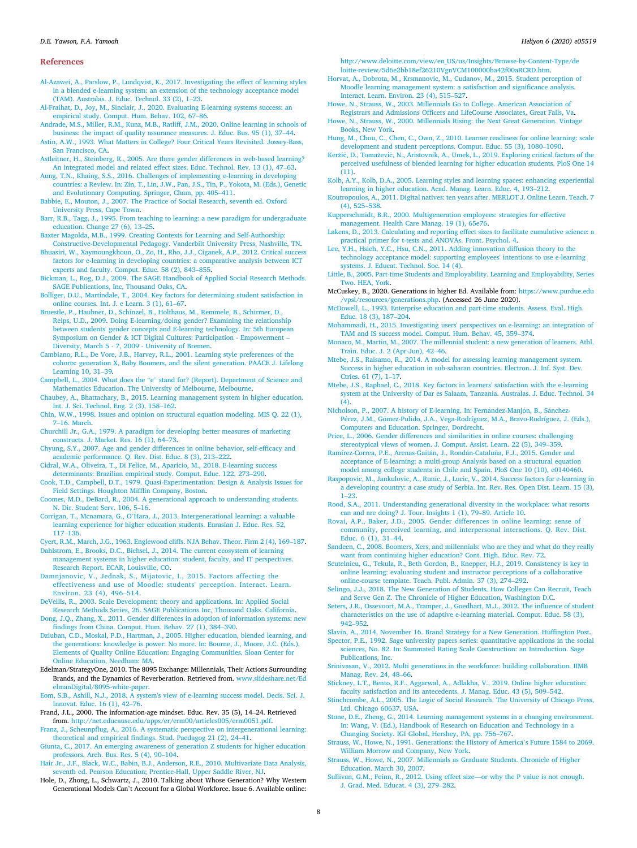#### References

<span id="page-8-45"></span>[Al-Azawei, A., Parslow, P., Lundqvist, K., 2017. Investigating the effect of learning styles](http://refhub.elsevier.com/S2405-8440(20)32362-8/sref1) [in a blended e-learning system: an extension of the technology acceptance model](http://refhub.elsevier.com/S2405-8440(20)32362-8/sref1) [\(TAM\). Australas. J. Educ. Technol. 33 \(2\), 1](http://refhub.elsevier.com/S2405-8440(20)32362-8/sref1)–[23.](http://refhub.elsevier.com/S2405-8440(20)32362-8/sref1)

- <span id="page-8-9"></span>[Al-Fraihat, D., Joy, M., Sinclair, J., 2020. Evaluating E-learning systems success: an](http://refhub.elsevier.com/S2405-8440(20)32362-8/sref2) [empirical study. Comput. Hum. Behav. 102, 67](http://refhub.elsevier.com/S2405-8440(20)32362-8/sref2)–[86.](http://refhub.elsevier.com/S2405-8440(20)32362-8/sref2)
- <span id="page-8-2"></span>[Andrade, M.S., Miller, R.M., Kunz, M.B., Ratliff, J.M., 2020. Online learning in schools of](http://refhub.elsevier.com/S2405-8440(20)32362-8/sref3) [business: the impact of quality assurance measures. J. Educ. Bus. 95 \(1\), 37](http://refhub.elsevier.com/S2405-8440(20)32362-8/sref3)–[44.](http://refhub.elsevier.com/S2405-8440(20)32362-8/sref3)

<span id="page-8-0"></span>[Astin, A.W., 1993. What Matters in College? Four Critical Years Revisited. Jossey-Bass,](http://refhub.elsevier.com/S2405-8440(20)32362-8/sref4) [San Francisco, CA](http://refhub.elsevier.com/S2405-8440(20)32362-8/sref4).

<span id="page-8-47"></span>[Astleitner, H., Steinberg, R., 2005. Are there gender differences in web-based learning?](http://refhub.elsevier.com/S2405-8440(20)32362-8/sref5) [An integrated model and related effect sizes. Educ. Technol. Rev. 13 \(1\), 47](http://refhub.elsevier.com/S2405-8440(20)32362-8/sref5)–[63.](http://refhub.elsevier.com/S2405-8440(20)32362-8/sref5)

<span id="page-8-56"></span>[Aung, T.N., Khaing, S.S., 2016. Challenges of implementing e-learning in developing](http://refhub.elsevier.com/S2405-8440(20)32362-8/sref6) [countries: a Review. In: Zin, T., Lin, J.W., Pan, J.S., Tin, P., Yokota, M. \(Eds.\), Genetic](http://refhub.elsevier.com/S2405-8440(20)32362-8/sref6) [and Evolutionary Computing. Springer, Cham, pp. 405](http://refhub.elsevier.com/S2405-8440(20)32362-8/sref6)–[411](http://refhub.elsevier.com/S2405-8440(20)32362-8/sref6).

<span id="page-8-64"></span>[Babbie, E., Mouton, J., 2007. The Practice of Social Research, seventh ed. Oxford](http://refhub.elsevier.com/S2405-8440(20)32362-8/sref7) [University Press, Cape Town](http://refhub.elsevier.com/S2405-8440(20)32362-8/sref7).

<span id="page-8-6"></span>[Barr, R.B., Tagg, J., 1995. From teaching to learning: a new paradigm for undergraduate](http://refhub.elsevier.com/S2405-8440(20)32362-8/sref8) [education. Change 27 \(6\), 13](http://refhub.elsevier.com/S2405-8440(20)32362-8/sref8)–[25.](http://refhub.elsevier.com/S2405-8440(20)32362-8/sref8)

<span id="page-8-27"></span>[Baxter Magolda, M.B., 1999. Creating Contexts for Learning and Self-Authorship:](http://refhub.elsevier.com/S2405-8440(20)32362-8/sref9)

<span id="page-8-54"></span>[Constructive-Developmental Pedagogy. Vanderbilt University Press, Nashville, TN.](http://refhub.elsevier.com/S2405-8440(20)32362-8/sref9) [Bhuasiri, W., Xaymoungkhoun, O., Zo, H., Rho, J.J., Ciganek, A.P., 2012. Critical success](http://refhub.elsevier.com/S2405-8440(20)32362-8/sref10) [factors for e-learning in developing countries: a comparative analysis between ICT](http://refhub.elsevier.com/S2405-8440(20)32362-8/sref10) [experts and faculty. Comput. Educ. 58 \(2\), 843](http://refhub.elsevier.com/S2405-8440(20)32362-8/sref10)–[855.](http://refhub.elsevier.com/S2405-8440(20)32362-8/sref10)

<span id="page-8-68"></span>[Bickman, L., Rog, D.J., 2009. The SAGE Handbook of Applied Social Research Methods.](http://refhub.elsevier.com/S2405-8440(20)32362-8/sref11) [SAGE Publications, Inc, Thousand Oaks, CA](http://refhub.elsevier.com/S2405-8440(20)32362-8/sref11).

<span id="page-8-49"></span>[Bolliger, D.U., Martindale, T., 2004. Key factors for determining student satisfaction in](http://refhub.elsevier.com/S2405-8440(20)32362-8/sref12) [online courses. Int. J. e Learn. 3 \(1\), 61](http://refhub.elsevier.com/S2405-8440(20)32362-8/sref12)–[67.](http://refhub.elsevier.com/S2405-8440(20)32362-8/sref12)

<span id="page-8-70"></span>[Bruestle, P., Haubner, D., Schinzel, B., Holthaus, M., Remmele, B., Schirmer, D.,](http://refhub.elsevier.com/S2405-8440(20)32362-8/sref13) [Reips, U.D., 2009. Doing E-learning/doing gender? Examining the relationship](http://refhub.elsevier.com/S2405-8440(20)32362-8/sref13) [between students' gender concepts and E-learning technology. In: 5th European](http://refhub.elsevier.com/S2405-8440(20)32362-8/sref13) [Symposium on Gender](http://refhub.elsevier.com/S2405-8440(20)32362-8/sref13) & [ICT Digital Cultures: Participation - Empowerment](http://refhub.elsevier.com/S2405-8440(20)32362-8/sref13) – [Diversity, March 5 - 7, 2009 - University of Bremen](http://refhub.elsevier.com/S2405-8440(20)32362-8/sref13).

<span id="page-8-57"></span>[Cambiano, R.L., De Vore, J.B., Harvey, R.L., 2001. Learning style preferences of the](http://refhub.elsevier.com/S2405-8440(20)32362-8/sref14) [cohorts: generation X, Baby Boomers, and the silent generation. PAACE J. Lifelong](http://refhub.elsevier.com/S2405-8440(20)32362-8/sref14) [Learning 10, 31](http://refhub.elsevier.com/S2405-8440(20)32362-8/sref14)–[39.](http://refhub.elsevier.com/S2405-8440(20)32362-8/sref14)

<span id="page-8-4"></span>Campbell, L., 2004. What does the "e" [stand for? \(Report\). Department of Science and](http://refhub.elsevier.com/S2405-8440(20)32362-8/sref15) [Mathematics Education. The University of Melbourne, Melbourne](http://refhub.elsevier.com/S2405-8440(20)32362-8/sref15).

- <span id="page-8-8"></span>[Chaubey, A., Bhattachary, B., 2015. Learning management system in higher education.](http://refhub.elsevier.com/S2405-8440(20)32362-8/sref16) [Int. J. Sci. Technol. Eng. 2 \(3\), 158](http://refhub.elsevier.com/S2405-8440(20)32362-8/sref16)–[162](http://refhub.elsevier.com/S2405-8440(20)32362-8/sref16).
- <span id="page-8-63"></span>[Chin, W.W., 1998. Issues and opinion on structural equation modeling. MIS Q. 22 \(1\),](http://refhub.elsevier.com/S2405-8440(20)32362-8/sref17) [7](http://refhub.elsevier.com/S2405-8440(20)32362-8/sref17)–[16. March](http://refhub.elsevier.com/S2405-8440(20)32362-8/sref17).
- <span id="page-8-60"></span>[Churchill Jr., G.A., 1979. A paradigm for developing better measures of marketing](http://refhub.elsevier.com/S2405-8440(20)32362-8/sref18) [constructs. J. Market. Res. 16 \(1\), 64](http://refhub.elsevier.com/S2405-8440(20)32362-8/sref18)–[73.](http://refhub.elsevier.com/S2405-8440(20)32362-8/sref18)

<span id="page-8-43"></span>[Chyung, S.Y., 2007. Age and gender differences in online behavior, self-ef](http://refhub.elsevier.com/S2405-8440(20)32362-8/sref19)ficacy and [academic performance. Q. Rev. Dist. Educ. 8 \(3\), 213](http://refhub.elsevier.com/S2405-8440(20)32362-8/sref19)–[222](http://refhub.elsevier.com/S2405-8440(20)32362-8/sref19).

<span id="page-8-10"></span>[Cidral, W.A., Oliveira, T., Di Felice, M., Aparicio, M., 2018. E-learning success](http://refhub.elsevier.com/S2405-8440(20)32362-8/sref20) [determinants: Brazilian empirical study. Comput. Educ. 122, 273](http://refhub.elsevier.com/S2405-8440(20)32362-8/sref20)–[290.](http://refhub.elsevier.com/S2405-8440(20)32362-8/sref20)

<span id="page-8-53"></span>[Cook, T.D., Campbell, D.T., 1979. Quasi-Experimentation: Design](http://refhub.elsevier.com/S2405-8440(20)32362-8/sref21) & [Analysis Issues for](http://refhub.elsevier.com/S2405-8440(20)32362-8/sref21) [Field Settings. Houghton Mif](http://refhub.elsevier.com/S2405-8440(20)32362-8/sref21)flin Company, Boston.

<span id="page-8-34"></span>[Coomes, M.D., DeBard, R., 2004. A generational approach to understanding students.](http://refhub.elsevier.com/S2405-8440(20)32362-8/sref22) [N. Dir. Student Serv. 106, 5](http://refhub.elsevier.com/S2405-8440(20)32362-8/sref22)–[16.](http://refhub.elsevier.com/S2405-8440(20)32362-8/sref22)

<span id="page-8-41"></span>Corrigan, T., Mcnamara, G., O'[Hara, J., 2013. Intergenerational learning: a valuable](http://refhub.elsevier.com/S2405-8440(20)32362-8/sref80) [learning experience for higher education students. Eurasian J. Educ. Res. 52,](http://refhub.elsevier.com/S2405-8440(20)32362-8/sref80) [117](http://refhub.elsevier.com/S2405-8440(20)32362-8/sref80)–[136](http://refhub.elsevier.com/S2405-8440(20)32362-8/sref80).

<span id="page-8-20"></span>[Cyert, R.M., March, J.G., 1963. Englewood cliffs. NJA Behav. Theor. Firm 2 \(4\), 169](http://refhub.elsevier.com/S2405-8440(20)32362-8/sref23)–[187.](http://refhub.elsevier.com/S2405-8440(20)32362-8/sref23)

<span id="page-8-5"></span>[Dahlstrom, E., Brooks, D.C., Bichsel, J., 2014. The current ecosystem of learning](http://refhub.elsevier.com/S2405-8440(20)32362-8/sref24) [management systems in higher education: student, faculty, and IT perspectives.](http://refhub.elsevier.com/S2405-8440(20)32362-8/sref24) [Research Report. ECAR, Louisville, CO.](http://refhub.elsevier.com/S2405-8440(20)32362-8/sref24)

<span id="page-8-14"></span>[Damnjanovic, V., Jednak, S., Mijatovic, I., 2015. Factors affecting the](http://refhub.elsevier.com/S2405-8440(20)32362-8/sref25) [effectiveness and use of Moodle: students' perception. Interact. Learn.](http://refhub.elsevier.com/S2405-8440(20)32362-8/sref25) [Environ. 23 \(4\), 496](http://refhub.elsevier.com/S2405-8440(20)32362-8/sref25)–[514](http://refhub.elsevier.com/S2405-8440(20)32362-8/sref25).

<span id="page-8-61"></span>[DeVellis, R., 2003. Scale Development: theory and applications. In: Applied Social](http://refhub.elsevier.com/S2405-8440(20)32362-8/sref26) arch Methods Series, 26. SAGE Publications Inc, Thousand Oaks. California.

<span id="page-8-42"></span>[Dong, J.Q., Zhang, X., 2011. Gender differences in adoption of information systems: new](http://refhub.elsevier.com/S2405-8440(20)32362-8/sref27) fi[ndings from China. Comput. Hum. Behav. 27 \(1\), 384](http://refhub.elsevier.com/S2405-8440(20)32362-8/sref27)–[390.](http://refhub.elsevier.com/S2405-8440(20)32362-8/sref27)

<span id="page-8-48"></span>[Dziuban, C.D., Moskal, P.D., Hartman, J., 2005. Higher education, blended learning, and](http://refhub.elsevier.com/S2405-8440(20)32362-8/sref28) [the generations: knowledge is power: No more. In: Bourne, J., Moore, J.C. \(Eds.\),](http://refhub.elsevier.com/S2405-8440(20)32362-8/sref28) [Elements of Quality Online Education: Engaging Communities. Sloan Center for](http://refhub.elsevier.com/S2405-8440(20)32362-8/sref28) [Online Education, Needham: MA.](http://refhub.elsevier.com/S2405-8440(20)32362-8/sref28)

<span id="page-8-31"></span>Edelman/StrategyOne, 2010. The 8095 Exchange: Millennials, Their Actions Surrounding Brands, and the Dynamics of Reverberation. Retrieved from. [www.slideshare.net/Ed](http://www.slideshare.net/EdelmanDigital/8095-white-paper) [elmanDigital/8095-white-paper.](http://www.slideshare.net/EdelmanDigital/8095-white-paper)

<span id="page-8-11"></span>[Eom, S.B., Ashill, N.J., 2018. A system's view of e-learning success model. Decis. Sci. J.](http://refhub.elsevier.com/S2405-8440(20)32362-8/sref30) [Innovat. Educ. 16 \(1\), 42](http://refhub.elsevier.com/S2405-8440(20)32362-8/sref30)–[76](http://refhub.elsevier.com/S2405-8440(20)32362-8/sref30).

<span id="page-8-37"></span>Frand, J.L., 2000. The information-age mindset. Educ. Rev. 35 (5), 14–24. Retrieved from. [http://net.educause.edu/apps/er/erm00/articles005/erm0051.pdf.](http://net.educause.edu/apps/er/erm00/articles005/erm0051.pdf)

<span id="page-8-21"></span>Franz, J., Scheunpfl[ug, A., 2016. A systematic perspective on intergenerational learning:](http://refhub.elsevier.com/S2405-8440(20)32362-8/sref32) theoretical and empirical fi[ndings. Stud. Paedagog 21 \(2\), 24](http://refhub.elsevier.com/S2405-8440(20)32362-8/sref32)–[41.](http://refhub.elsevier.com/S2405-8440(20)32362-8/sref32)

<span id="page-8-26"></span>[Giunta, C., 2017. An emerging awareness of generation Z students for higher education](http://refhub.elsevier.com/S2405-8440(20)32362-8/sref33) [professors. Arch. Bus. Res. 5 \(4\), 90](http://refhub.elsevier.com/S2405-8440(20)32362-8/sref33)–[104](http://refhub.elsevier.com/S2405-8440(20)32362-8/sref33).

<span id="page-8-62"></span>[Hair Jr., J.F., Black, W.C., Babin, B.J., Anderson, R.E., 2010. Multivariate Data Analysis,](http://refhub.elsevier.com/S2405-8440(20)32362-8/sref34) [seventh ed. Pearson Education; Prentice-Hall, Upper Saddle River, NJ.](http://refhub.elsevier.com/S2405-8440(20)32362-8/sref34)

<span id="page-8-29"></span>Hole, D., Zhong, L., Schwartz, J., 2010. Talking about Whose Generation? Why Western Generational Models Can't Account for a Global Workforce. Issue 6. Available online:

[http://www.deloitte.com/view/en\\_US/us/Insights/Browse-by-Content-Type/de](http://www.deloitte.com/view/en_US/us/Insights/Browse-by-Content-Type/deloitte-review/5d6e2bb18ef26210VgnVCM100000ba42f00aRCRD.htm) [loitte-review/5d6e2bb18ef26210VgnVCM100000ba42f00aRCRD.htm](http://www.deloitte.com/view/en_US/us/Insights/Browse-by-Content-Type/deloitte-review/5d6e2bb18ef26210VgnVCM100000ba42f00aRCRD.htm).

<span id="page-8-1"></span>[Horvat, A., Dobrota, M., Krsmanovic, M., Cudanov, M., 2015. Student perception of](http://refhub.elsevier.com/S2405-8440(20)32362-8/sref36) [Moodle learning management system: a satisfaction and signi](http://refhub.elsevier.com/S2405-8440(20)32362-8/sref36)ficance analysis. [Interact. Learn. Environ. 23 \(4\), 515](http://refhub.elsevier.com/S2405-8440(20)32362-8/sref36)–[527.](http://refhub.elsevier.com/S2405-8440(20)32362-8/sref36)

<span id="page-8-30"></span>[Howe, N., Strauss, W., 2003. Millennials Go to College. American Association of](http://refhub.elsevier.com/S2405-8440(20)32362-8/sref37)

<span id="page-8-24"></span>Registrars and Admissions Offi[cers and LifeCourse Associates, Great Falls, Va.](http://refhub.elsevier.com/S2405-8440(20)32362-8/sref37) [Howe, N., Strauss, W., 2000. Millennials Rising: the Next Great Generation. Vintage](http://refhub.elsevier.com/S2405-8440(20)32362-8/sref38) [Books, New York](http://refhub.elsevier.com/S2405-8440(20)32362-8/sref38).

<span id="page-8-46"></span>[Hung, M., Chou, C., Chen, C., Own, Z., 2010. Learner readiness for online learning: scale](http://refhub.elsevier.com/S2405-8440(20)32362-8/sref39) [development and student perceptions. Comput. Educ. 55 \(3\), 1080](http://refhub.elsevier.com/S2405-8440(20)32362-8/sref39)–[1090](http://refhub.elsevier.com/S2405-8440(20)32362-8/sref39).

<span id="page-8-13"></span>[Ker](http://refhub.elsevier.com/S2405-8440(20)32362-8/sref40)žič, D., Tomaž[evi](http://refhub.elsevier.com/S2405-8440(20)32362-8/sref40)č, N., Aristovnik, A., Umek, L., 2019. Exploring critical factors of the [perceived usefulness of blended learning for higher education students. PloS One 14](http://refhub.elsevier.com/S2405-8440(20)32362-8/sref40)  $(11)$ .

<span id="page-8-28"></span>[Kolb, A.Y., Kolb, D.A., 2005. Learning styles and learning spaces: enhancing experiential](http://refhub.elsevier.com/S2405-8440(20)32362-8/sref41) [learning in higher education. Acad. Manag. Learn. Educ. 4, 193](http://refhub.elsevier.com/S2405-8440(20)32362-8/sref41)–[212.](http://refhub.elsevier.com/S2405-8440(20)32362-8/sref41)

<span id="page-8-40"></span>[Koutropoulos, A., 2011. Digital natives: ten years after. MERLOT J. Online Learn. Teach. 7](http://refhub.elsevier.com/S2405-8440(20)32362-8/sref79) [\(4\), 525](http://refhub.elsevier.com/S2405-8440(20)32362-8/sref79)–[538.](http://refhub.elsevier.com/S2405-8440(20)32362-8/sref79)

<span id="page-8-22"></span>[Kupperschmidt, B.R., 2000. Multigeneration employees: strategies for effective](http://refhub.elsevier.com/S2405-8440(20)32362-8/sref42) [management. Health Care Manag. 19 \(1\), 65e76.](http://refhub.elsevier.com/S2405-8440(20)32362-8/sref42)

<span id="page-8-66"></span>[Lakens, D., 2013. Calculating and reporting effect sizes to facilitate cumulative science: a](http://refhub.elsevier.com/S2405-8440(20)32362-8/sref43) [practical primer for t-tests and ANOVAs. Front. Psychol. 4](http://refhub.elsevier.com/S2405-8440(20)32362-8/sref43).

<span id="page-8-19"></span>[Lee, Y.H., Hsieh, Y.C., Hsu, C.N., 2011. Adding innovation diffusion theory to the](http://refhub.elsevier.com/S2405-8440(20)32362-8/sref44) [technology acceptance model: supporting employees' intentions to use e-learning](http://refhub.elsevier.com/S2405-8440(20)32362-8/sref44) [systems. J. Educat. Technol. Soc. 14 \(4\)](http://refhub.elsevier.com/S2405-8440(20)32362-8/sref44).

<span id="page-8-58"></span>[Little, B., 2005. Part-time Students and Employability. Learning and Employability, Series](http://refhub.elsevier.com/S2405-8440(20)32362-8/sref81) [Two. HEA, York](http://refhub.elsevier.com/S2405-8440(20)32362-8/sref81).

<span id="page-8-32"></span>McCuskey, B., 2020. Generations in higher Ed. Available from: [https://www.purdue.edu](https://www.purdue.edu/vpsl/resources/generations.php) [/vpsl/resources/generations.php](https://www.purdue.edu/vpsl/resources/generations.php). (Accessed 26 June 2020).

<span id="page-8-59"></span>[McDowell, L., 1993. Enterprise education and part-time students. Assess. Eval. High.](http://refhub.elsevier.com/S2405-8440(20)32362-8/sref82) [Educ. 18 \(3\), 187](http://refhub.elsevier.com/S2405-8440(20)32362-8/sref82)–[204](http://refhub.elsevier.com/S2405-8440(20)32362-8/sref82).

<span id="page-8-55"></span>[Mohammadi, H., 2015. Investigating users' perspectives on e-learning: an integration of](http://refhub.elsevier.com/S2405-8440(20)32362-8/sref46) [TAM and IS success model. Comput. Hum. Behav. 45, 359](http://refhub.elsevier.com/S2405-8440(20)32362-8/sref46)–[374](http://refhub.elsevier.com/S2405-8440(20)32362-8/sref46).

<span id="page-8-36"></span>[Monaco, M., Martin, M., 2007. The millennial student: a new generation of learners. Athl.](http://refhub.elsevier.com/S2405-8440(20)32362-8/sref47) [Train. Educ. J. 2 \(Apr-Jun\), 42](http://refhub.elsevier.com/S2405-8440(20)32362-8/sref47)–[46](http://refhub.elsevier.com/S2405-8440(20)32362-8/sref47).

<span id="page-8-50"></span>[Mtebe, J.S., Raisamo, R., 2014. A model for assessing learning management system.](http://refhub.elsevier.com/S2405-8440(20)32362-8/sref48) [Success in higher education in sub-saharan countries. Electron. J. Inf. Syst. Dev.](http://refhub.elsevier.com/S2405-8440(20)32362-8/sref48) [Ctries. 61 \(7\), 1](http://refhub.elsevier.com/S2405-8440(20)32362-8/sref48)–[17](http://refhub.elsevier.com/S2405-8440(20)32362-8/sref48).

<span id="page-8-51"></span>[Mtebe, J.S., Raphael, C., 2018. Key factors in learners' satisfaction with the e-learning](http://refhub.elsevier.com/S2405-8440(20)32362-8/sref49) [system at the University of Dar es Salaam, Tanzania. Australas. J. Educ. Technol. 34](http://refhub.elsevier.com/S2405-8440(20)32362-8/sref49)  $(4)$ .

<span id="page-8-3"></span>[Nicholson, P., 2007. A history of E-learning. In: Fern](http://refhub.elsevier.com/S2405-8440(20)32362-8/sref50)ández-Manjón, B., Sá[nchez-](http://refhub.elsevier.com/S2405-8440(20)32362-8/sref50)[P](http://refhub.elsevier.com/S2405-8440(20)32362-8/sref50)[erez, J.M., Gomez-Pulido, J.A., Vega-Rodríguez, M.A., Bravo-Rodríguez, J. \(Eds.\),](http://refhub.elsevier.com/S2405-8440(20)32362-8/sref50) [Computers and Education. Springer, Dordrecht.](http://refhub.elsevier.com/S2405-8440(20)32362-8/sref50)

<span id="page-8-71"></span>[Price, L., 2006. Gender differences and similarities in online courses: challenging](http://refhub.elsevier.com/S2405-8440(20)32362-8/sref51) [stereotypical views of women. J. Comput. Assist. Learn. 22 \(5\), 349](http://refhub.elsevier.com/S2405-8440(20)32362-8/sref51)–[359.](http://refhub.elsevier.com/S2405-8440(20)32362-8/sref51)

<span id="page-8-69"></span>[Ramírez-Correa, P.E., Arenas-Gait](http://refhub.elsevier.com/S2405-8440(20)32362-8/sref52)á[n, J., Rond](http://refhub.elsevier.com/S2405-8440(20)32362-8/sref52)á[n-Catalu](http://refhub.elsevier.com/S2405-8440(20)32362-8/sref52)ñ[a, F.J., 2015. Gender and](http://refhub.elsevier.com/S2405-8440(20)32362-8/sref52) [acceptance of E-learning: a multi-group Analysis based on a structural equation](http://refhub.elsevier.com/S2405-8440(20)32362-8/sref52)

<span id="page-8-16"></span>[model among college students in Chile and Spain. PloS One 10 \(10\), e0140460.](http://refhub.elsevier.com/S2405-8440(20)32362-8/sref52) [Raspopovic, M., Jankulovic, A., Runic, J., Lucic, V., 2014. Success factors for e-learning in](http://refhub.elsevier.com/S2405-8440(20)32362-8/sref53) [a developing country: a case study of Serbia. Int. Rev. Res. Open Dist. Learn. 15 \(3\),](http://refhub.elsevier.com/S2405-8440(20)32362-8/sref53) [1](http://refhub.elsevier.com/S2405-8440(20)32362-8/sref53)–[23.](http://refhub.elsevier.com/S2405-8440(20)32362-8/sref53)

<span id="page-8-35"></span>[Rood, S.A., 2011. Understanding generational diversity in the workplace: what resorts](http://refhub.elsevier.com/S2405-8440(20)32362-8/sref54) [can and are doing? J. Tour. Insights 1 \(1\), 79](http://refhub.elsevier.com/S2405-8440(20)32362-8/sref54)–[89. Article 10](http://refhub.elsevier.com/S2405-8440(20)32362-8/sref54).

<span id="page-8-44"></span>[Rovai, A.P., Baker, J.D., 2005. Gender differences in online learning: sense of](http://refhub.elsevier.com/S2405-8440(20)32362-8/sref55) [community, perceived learning, and interpersonal interactions. Q. Rev. Dist.](http://refhub.elsevier.com/S2405-8440(20)32362-8/sref55) [Educ. 6 \(1\), 31](http://refhub.elsevier.com/S2405-8440(20)32362-8/sref55)–[44.](http://refhub.elsevier.com/S2405-8440(20)32362-8/sref55)

<span id="page-8-17"></span>[Sandeen, C., 2008. Boomers, Xers, and millennials: who are they and what do they really](http://refhub.elsevier.com/S2405-8440(20)32362-8/sref56) [want from continuing higher education? Cont. High. Educ. Rev. 72.](http://refhub.elsevier.com/S2405-8440(20)32362-8/sref56)

<span id="page-8-15"></span>[Scutelnicu, G., Tekula, R., Beth Gordon, B., Knepper, H.J., 2019. Consistency is key in](http://refhub.elsevier.com/S2405-8440(20)32362-8/sref57) [online learning: evaluating student and instructor perceptions of a collaborative](http://refhub.elsevier.com/S2405-8440(20)32362-8/sref57) [online-course template. Teach. Publ. Admin. 37 \(3\), 274](http://refhub.elsevier.com/S2405-8440(20)32362-8/sref57)–[292](http://refhub.elsevier.com/S2405-8440(20)32362-8/sref57).

<span id="page-8-33"></span>[Selingo, J.J., 2018. The New Generation of Students. How Colleges Can Recruit, Teach](http://refhub.elsevier.com/S2405-8440(20)32362-8/sref58) [and Serve Gen Z. The Chronicle of Higher Education, Washington D.C](http://refhub.elsevier.com/S2405-8440(20)32362-8/sref58).

<span id="page-8-18"></span>[Seters, J.R., Ossevoort, M.A., Tramper, J., Goedhart, M.J., 2012. The in](http://refhub.elsevier.com/S2405-8440(20)32362-8/sref59)fluence of student [characteristics on the use of adaptive e-learning material. Comput. Educ. 58 \(3\),](http://refhub.elsevier.com/S2405-8440(20)32362-8/sref59) [942](http://refhub.elsevier.com/S2405-8440(20)32362-8/sref59)–[952](http://refhub.elsevier.com/S2405-8440(20)32362-8/sref59).

<span id="page-8-39"></span>[Slavin, A., 2014, November 16. Brand Strategy for a New Generation. Huf](http://refhub.elsevier.com/S2405-8440(20)32362-8/sref78)fington Post.

<span id="page-8-65"></span>[Spector, P.E., 1992. Sage university papers series: quantitative applications in the social](http://refhub.elsevier.com/S2405-8440(20)32362-8/sref60) [sciences, No. 82. In: Summated Rating Scale Construction: an Introduction. Sage](http://refhub.elsevier.com/S2405-8440(20)32362-8/sref60) [Publications, Inc.](http://refhub.elsevier.com/S2405-8440(20)32362-8/sref60)

- <span id="page-8-25"></span>[Srinivasan, V., 2012. Multi generations in the workforce: building collaboration. IIMB](http://refhub.elsevier.com/S2405-8440(20)32362-8/sref61) [Manag. Rev. 24, 48](http://refhub.elsevier.com/S2405-8440(20)32362-8/sref61)–[66](http://refhub.elsevier.com/S2405-8440(20)32362-8/sref61).
- <span id="page-8-12"></span>[Stickney, L.T., Bento, R.F., Aggarwal, A., Adlakha, V., 2019. Online higher education:](http://refhub.elsevier.com/S2405-8440(20)32362-8/sref62) [faculty satisfaction and its antecedents. J. Manag. Educ. 43 \(5\), 509](http://refhub.elsevier.com/S2405-8440(20)32362-8/sref62)–[542](http://refhub.elsevier.com/S2405-8440(20)32362-8/sref62).

<span id="page-8-52"></span>[Stinchcombe, A.L., 2005. The Logic of Social Research. The University of Chicago Press,](http://refhub.elsevier.com/S2405-8440(20)32362-8/sref63) [Ltd. Chicago 60637, USA.](http://refhub.elsevier.com/S2405-8440(20)32362-8/sref63)

<span id="page-8-7"></span>[Stone, D.E., Zheng, G., 2014. Learning management systems in a changing environment.](http://refhub.elsevier.com/S2405-8440(20)32362-8/sref64) [In: Wang, V. \(Ed.\), Handbook of Research on Education and Technology in a](http://refhub.elsevier.com/S2405-8440(20)32362-8/sref64) [Changing Society. IGI Global, Hershey, PA, pp. 756](http://refhub.elsevier.com/S2405-8440(20)32362-8/sref64)–[767](http://refhub.elsevier.com/S2405-8440(20)32362-8/sref64).

<span id="page-8-23"></span>[Strauss, W., Howe, N., 1991. Generations: the History of America](http://refhub.elsevier.com/S2405-8440(20)32362-8/sref65)'s Future 1584 to 2069. [William Morrow and Company, New York](http://refhub.elsevier.com/S2405-8440(20)32362-8/sref65).

<span id="page-8-38"></span>[Strauss, W., Howe, N., 2007. Millennials as Graduate Students. Chronicle of Higher](http://refhub.elsevier.com/S2405-8440(20)32362-8/sref66) [Education. March 30, 2007.](http://refhub.elsevier.com/S2405-8440(20)32362-8/sref66)

<span id="page-8-67"></span>[Sullivan, G.M., Feinn, R., 2012. Using effect size](http://refhub.elsevier.com/S2405-8440(20)32362-8/sref67)—[or why the P value is not enough.](http://refhub.elsevier.com/S2405-8440(20)32362-8/sref67) [J. Grad. Med. Educat. 4 \(3\), 279](http://refhub.elsevier.com/S2405-8440(20)32362-8/sref67)–[282.](http://refhub.elsevier.com/S2405-8440(20)32362-8/sref67)